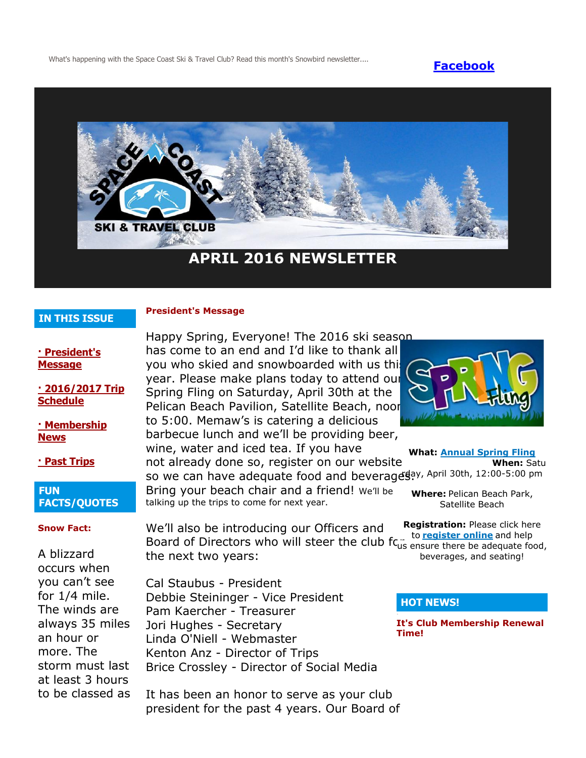What's happening with the Space Coast Ski & Travel Club? Read this month's Snowbird newsletter.... **[Facebook](https://www.facebook.com/pages/Space-Coast-Ski-Club/137991863341)** 



## **IN THIS ISSUE**

### **President's Message**

**[· President's](http://spacecoastskiclub.com/Admin/Settings/Emails/EmailContentProvider.aspx?emailId=44514072#anchor1)  [Message](http://spacecoastskiclub.com/Admin/Settings/Emails/EmailContentProvider.aspx?emailId=44514072#anchor1)**

**[· 2016/2017 Trip](http://spacecoastskiclub.com/Admin/Settings/Emails/EmailContentProvider.aspx?emailId=44514072#anchor2)  [Schedule](http://spacecoastskiclub.com/Admin/Settings/Emails/EmailContentProvider.aspx?emailId=44514072#anchor2)** 

**[· Membership](http://spacecoastskiclub.com/Admin/Settings/Emails/EmailContentProvider.aspx?emailId=44514072#anchor3)  [News](http://spacecoastskiclub.com/Admin/Settings/Emails/EmailContentProvider.aspx?emailId=44514072#anchor3)**

**[· Past Trips](http://spacecoastskiclub.com/Admin/Settings/Emails/EmailContentProvider.aspx?emailId=44514072#anchor4)**

## **FUN FACTS/QUOTES**

#### **Snow Fact:**

A blizzard occurs when you can't see for 1/4 mile. The winds are always 35 miles an hour or more. The storm must last at least 3 hours to be classed as Happy Spring, Everyone! The 2016 ski season has come to an end and I'd like to thank all you who skied and snowboarded with us this year. Please make plans today to attend our Spring Fling on Saturday, April 30th at the Pelican Beach Pavilion, Satellite Beach, noor to 5:00. Memaw's is catering a delicious barbecue lunch and we'll be providing beer, wine, water and iced tea. If you have not already done so, register on our website so we can have adequate food and beverages, April 30th, 12:00-5:00 pm

Bring your beach chair and a friend! We'll be talking up the trips to come for next year.

We'll also be introducing our Officers and **Board of Directors who will steer the club for any to [register online](http://spacecoastskiclub.com/event-2167418/Registration)** and help be adequate for the next two years:

Cal Staubus - President Debbie Steininger - Vice President Pam Kaercher - Treasurer Jori Hughes - Secretary Linda O'Niell - Webmaster Kenton Anz - Director of Trips Brice Crossley - Director of Social Media

It has been an honor to serve as your club president for the past 4 years. Our Board of



**What: [Annual Spring Fling](http://spacecoastskiclub.com/event-2167418) When:** Satu **Where:** Pelican Beach Park, Satellite Beach

**Registration:** Please click here us ensure there be adequate food, beverages, and seating!

## **HOT NEWS!**

**It's Club Membership Renewal Time!**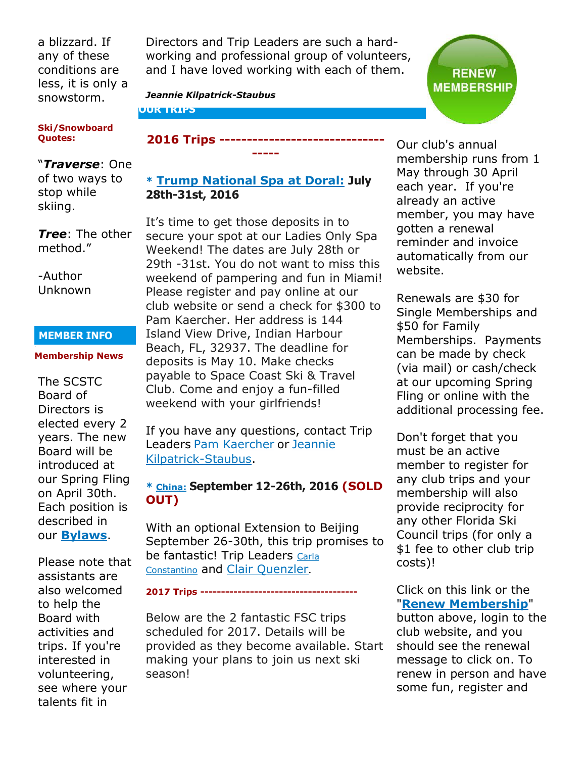a blizzard. If any of these conditions are less, it is only a snowstorm.

#### **Ski/Snowboard Quotes:**

# "*Traverse*: One

of two ways to stop while skiing.

*Tree*: The other method."

-Author Unknown

## **MEMBER INFO**

## **Membership News**

The SCSTC Board of Directors is elected every 2 years. The new Board will be introduced at our Spring Fling on April 30th. Each position is described in our **[Bylaws](http://spacecoastskiclub.com/resources/Documents/bylaws/SCSTC%20Bylaws_4.15.15.pdf)**.

Please note that assistants are also welcomed to help the Board with activities and trips. If you're interested in volunteering, see where your talents fit in

Directors and Trip Leaders are such a hardworking and professional group of volunteers, and I have loved working with each of them.

*Jeannie Kilpatrick-Staubus*

**OUR TRIPS**

# **2016 Trips ------------------------------**

# **\* [Trump National Spa at Doral](http://spacecoastskiclub.com/event-2211515): July 28th-31st, 2016**

**-----**

It's time to get those deposits in to secure your spot at our Ladies Only Spa Weekend! The dates are July 28th or 29th -31st. You do not want to miss this weekend of pampering and fun in Miami! Please register and pay online at our club website or send a check for \$300 to Pam Kaercher. Her address is 144 Island View Drive, Indian Harbour Beach, FL, 32937. The deadline for deposits is May 10. Make checks payable to Space Coast Ski & Travel Club. Come and enjoy a fun-filled weekend with your girlfriends!

If you have any questions, contact Trip Leaders [Pam Kaercher](mailto:Pam@spacecoastskiclub.com) or [Jeannie](mailto:Jeannie@spacecoastskiclub.com)  [Kilpatrick-Staubus.](mailto:Jeannie@spacecoastskiclub.com)

# **\* [China:](http://spacecoastskiclub.com/event-2024853) September 12-26th, 2016 (SOLD OUT)**

With an optional Extension to Beijing September 26-30th, this trip promises to be fantastic! Trip Leaders Carla [Constantino](mailto:Carla@SpaceCoastSkiClub.com) and [Clair Quenzler](mailto:clairqski@aol.com).

## **2017 Trips --------------------------------------**

Below are the 2 fantastic FSC trips scheduled for 2017. Details will be provided as they become available. Start making your plans to join us next ski season!

Our club's annual membership runs from 1 May through 30 April each year. If you're already an active member, you may have gotten a renewal reminder and invoice automatically from our website.

Renewals are \$30 for Single Memberships and \$50 for Family Memberships. Payments can be made by check (via mail) or cash/check at our upcoming Spring Fling or online with the additional processing fee.

Don't forget that you must be an active member to register for any club trips and your membership will also provide reciprocity for any other Florida Ski Council trips (for only a \$1 fee to other club trip costs)!

Click on this link or the "**[Renew Membership](http://spacecoastskiclub.com/)**"

button above, login to the club website, and you should see the renewal message to click on. To renew in person and have some fun, register and

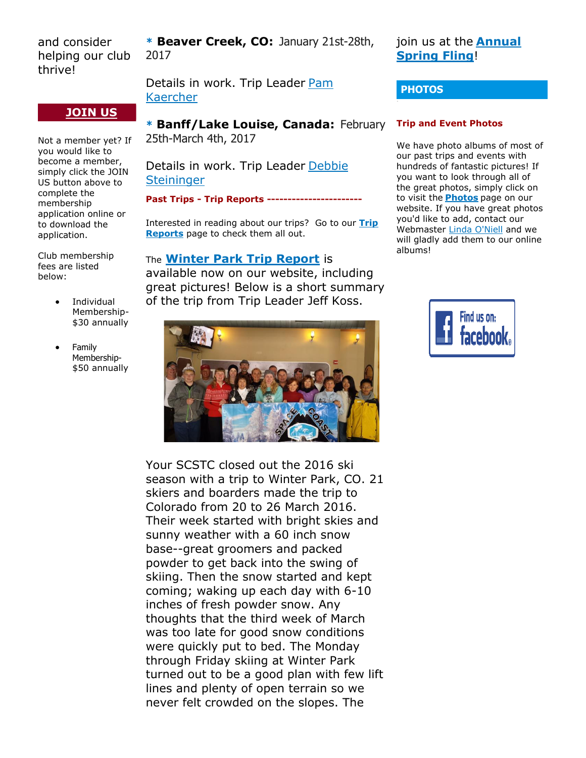and consider helping our club thrive!

# **[JOIN US](http://spacecoastskiclub.com/Join)**

Not a member yet? If you would like to become a member, simply click the JOIN US button above to complete the membership application online or to download the application.

Club membership fees are listed below:

- Individual Membership- \$30 annually
- Family Membership- \$50 annually

**\* Beaver Creek, CO:** January 21st-28th, 2017

Details in work. Trip Leader [Pam](mailto:Pam@spacecoastskiclub.com)  [Kaercher](mailto:Pam@spacecoastskiclub.com)

## **\* Banff/Lake Louise, Canada:** February 25th-March 4th, 2017

Details in work. Trip Leader [Debbie](mailto:dsteininger@cfl.rr.com)  **[Steininger](mailto:dsteininger@cfl.rr.com)** 

**Past Trips - Trip Reports -----------------------**

Interested in reading about our trips? Go to our **[Trip](http://spacecoastskiclub.com/PastTrips)  [Reports](http://spacecoastskiclub.com/PastTrips)** page to check them all out.

# The **[Winter Park Trip Report](http://spacecoastskiclub.com/page-1854081)** is

available now on our website, including great pictures! Below is a short summary of the trip from Trip Leader Jeff Koss.



Your SCSTC closed out the 2016 ski season with a trip to Winter Park, CO. 21 skiers and boarders made the trip to Colorado from 20 to 26 March 2016. Their week started with bright skies and sunny weather with a 60 inch snow base--great groomers and packed powder to get back into the swing of skiing. Then the snow started and kept coming; waking up each day with 6-10 inches of fresh powder snow. Any thoughts that the third week of March was too late for good snow conditions were quickly put to bed. The Monday through Friday skiing at Winter Park turned out to be a good plan with few lift lines and plenty of open terrain so we never felt crowded on the slopes. The

join us at the **[Annual](http://spacecoastskiclub.com/event-2167418)  [Spring Fling](http://spacecoastskiclub.com/event-2167418)**!

## **PHOTOS**

#### **Trip and Event Photos**

We have photo albums of most of our past trips and events with hundreds of fantastic pictures! If you want to look through all of the great photos, simply click on to visit the **[Photos](http://spacecoastskiclub.com/Default.aspx?pageId=1628252)** page on our website. If you have great photos you'd like to add, contact our Webmaster [Linda O'Niell](mailto:lrod2127@gmail.com) and we will gladly add them to our online albums!